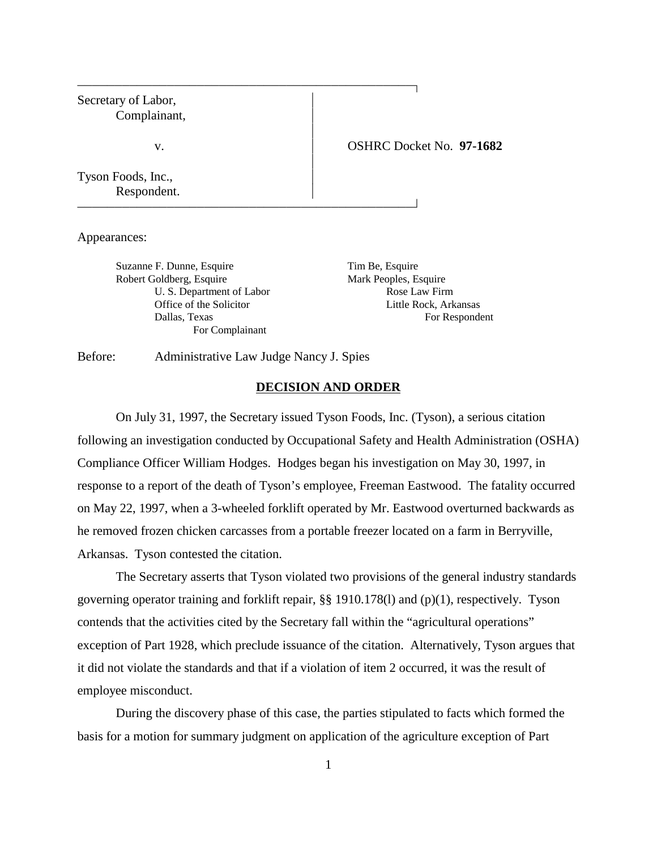| Secretary of Labor,<br>Complainant, |                          |
|-------------------------------------|--------------------------|
| V.                                  | OSHRC Docket No. 97-1682 |
| Tyson Foods, Inc.,<br>Respondent.   |                          |

Appearances:

Suzanne F. Dunne, Esquire Tim Be, Esquire Robert Goldberg, Esquire Mark Peoples, Esquire U. S. Department of Labor Rose Law Firm For Complainant

Office of the Solicitor Little Rock, Arkansas Dallas, Texas For Respondent

Before: Administrative Law Judge Nancy J. Spies

### **DECISION AND ORDER**

On July 31, 1997, the Secretary issued Tyson Foods, Inc. (Tyson), a serious citation following an investigation conducted by Occupational Safety and Health Administration (OSHA) Compliance Officer William Hodges. Hodges began his investigation on May 30, 1997, in response to a report of the death of Tyson's employee, Freeman Eastwood. The fatality occurred on May 22, 1997, when a 3-wheeled forklift operated by Mr. Eastwood overturned backwards as he removed frozen chicken carcasses from a portable freezer located on a farm in Berryville, Arkansas. Tyson contested the citation.

The Secretary asserts that Tyson violated two provisions of the general industry standards governing operator training and forklift repair, §§ 1910.178(l) and (p)(1), respectively. Tyson contends that the activities cited by the Secretary fall within the "agricultural operations" exception of Part 1928, which preclude issuance of the citation. Alternatively, Tyson argues that it did not violate the standards and that if a violation of item 2 occurred, it was the result of employee misconduct.

During the discovery phase of this case, the parties stipulated to facts which formed the basis for a motion for summary judgment on application of the agriculture exception of Part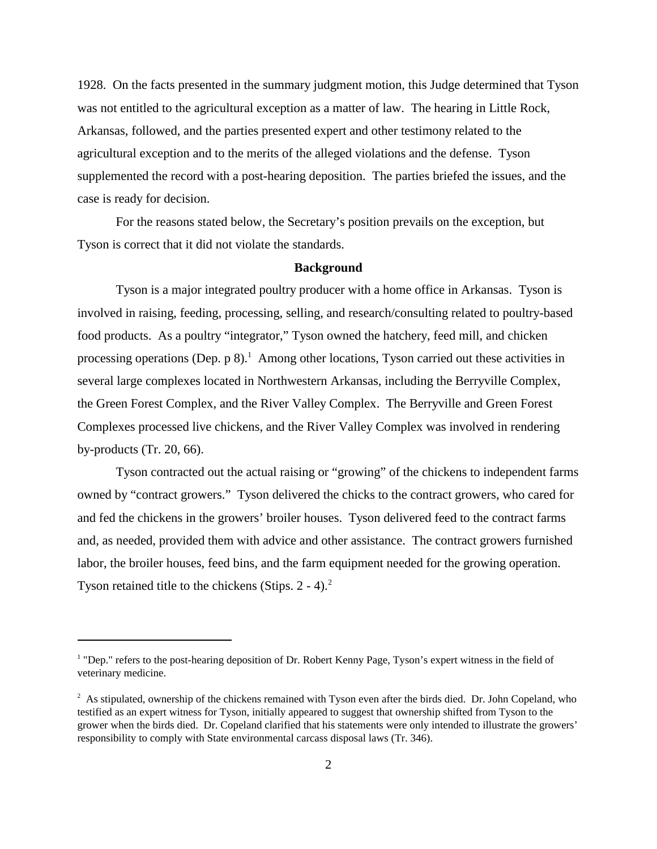1928. On the facts presented in the summary judgment motion, this Judge determined that Tyson was not entitled to the agricultural exception as a matter of law. The hearing in Little Rock, Arkansas, followed, and the parties presented expert and other testimony related to the agricultural exception and to the merits of the alleged violations and the defense. Tyson supplemented the record with a post-hearing deposition. The parties briefed the issues, and the case is ready for decision.

For the reasons stated below, the Secretary's position prevails on the exception, but Tyson is correct that it did not violate the standards.

# **Background**

Tyson is a major integrated poultry producer with a home office in Arkansas. Tyson is involved in raising, feeding, processing, selling, and research/consulting related to poultry-based food products. As a poultry "integrator," Tyson owned the hatchery, feed mill, and chicken processing operations (Dep. p 8).<sup>1</sup> Among other locations, Tyson carried out these activities in several large complexes located in Northwestern Arkansas, including the Berryville Complex, the Green Forest Complex, and the River Valley Complex. The Berryville and Green Forest Complexes processed live chickens, and the River Valley Complex was involved in rendering by-products (Tr. 20, 66).

Tyson contracted out the actual raising or "growing" of the chickens to independent farms owned by "contract growers." Tyson delivered the chicks to the contract growers, who cared for and fed the chickens in the growers' broiler houses. Tyson delivered feed to the contract farms and, as needed, provided them with advice and other assistance. The contract growers furnished labor, the broiler houses, feed bins, and the farm equipment needed for the growing operation. Tyson retained title to the chickens (Stips.  $2 - 4$ ).<sup>2</sup>

<sup>&</sup>lt;sup>1</sup> "Dep." refers to the post-hearing deposition of Dr. Robert Kenny Page, Tyson's expert witness in the field of veterinary medicine.

 $2^2$  As stipulated, ownership of the chickens remained with Tyson even after the birds died. Dr. John Copeland, who testified as an expert witness for Tyson, initially appeared to suggest that ownership shifted from Tyson to the grower when the birds died. Dr. Copeland clarified that his statements were only intended to illustrate the growers' responsibility to comply with State environmental carcass disposal laws (Tr. 346).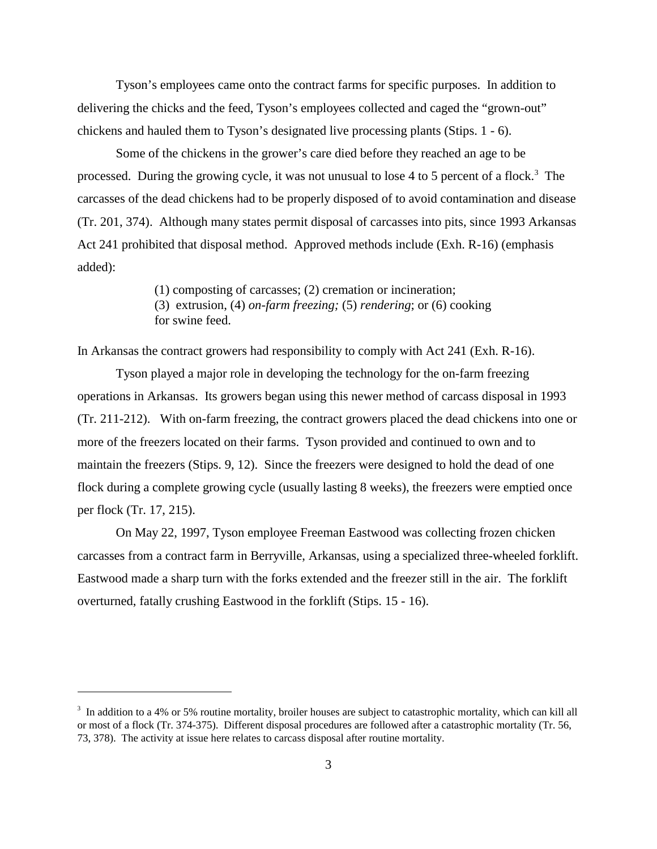Tyson's employees came onto the contract farms for specific purposes. In addition to delivering the chicks and the feed, Tyson's employees collected and caged the "grown-out" chickens and hauled them to Tyson's designated live processing plants (Stips. 1 - 6).

Some of the chickens in the grower's care died before they reached an age to be processed. During the growing cycle, it was not unusual to lose 4 to 5 percent of a flock.<sup>3</sup> The carcasses of the dead chickens had to be properly disposed of to avoid contamination and disease (Tr. 201, 374). Although many states permit disposal of carcasses into pits, since 1993 Arkansas Act 241 prohibited that disposal method. Approved methods include (Exh. R-16) (emphasis added):

(1) composting of carcasses; (2) cremation or incineration;

(3) extrusion, (4) *on-farm freezing;* (5) *rendering*; or (6) cooking for swine feed.

In Arkansas the contract growers had responsibility to comply with Act 241 (Exh. R-16).

Tyson played a major role in developing the technology for the on-farm freezing operations in Arkansas. Its growers began using this newer method of carcass disposal in 1993 (Tr. 211-212). With on-farm freezing, the contract growers placed the dead chickens into one or more of the freezers located on their farms. Tyson provided and continued to own and to maintain the freezers (Stips. 9, 12). Since the freezers were designed to hold the dead of one flock during a complete growing cycle (usually lasting 8 weeks), the freezers were emptied once per flock (Tr. 17, 215).

On May 22, 1997, Tyson employee Freeman Eastwood was collecting frozen chicken carcasses from a contract farm in Berryville, Arkansas, using a specialized three-wheeled forklift. Eastwood made a sharp turn with the forks extended and the freezer still in the air. The forklift overturned, fatally crushing Eastwood in the forklift (Stips. 15 - 16).

 $3\,$  In addition to a 4% or 5% routine mortality, broiler houses are subject to catastrophic mortality, which can kill all or most of a flock (Tr. 374-375). Different disposal procedures are followed after a catastrophic mortality (Tr. 56, 73, 378). The activity at issue here relates to carcass disposal after routine mortality.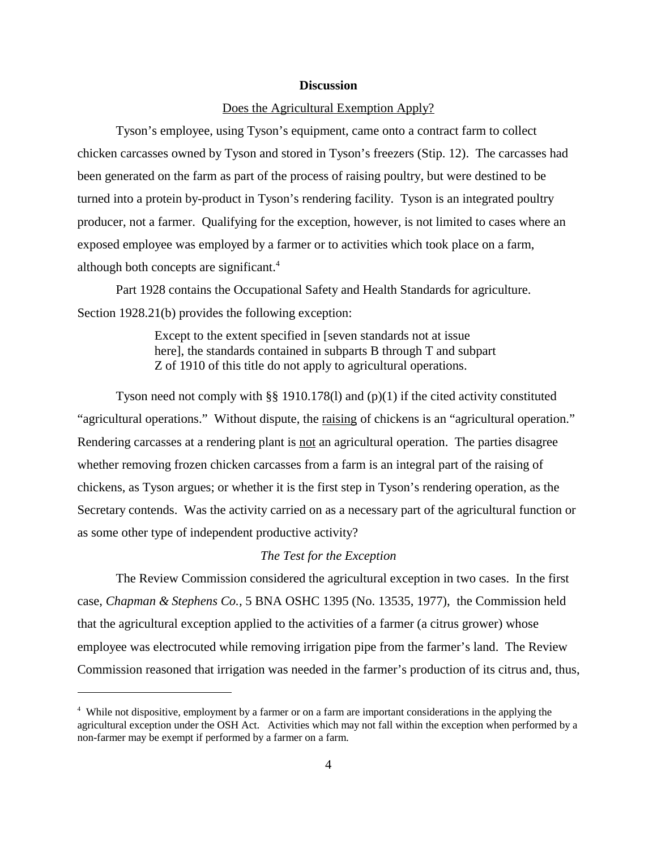### **Discussion**

### Does the Agricultural Exemption Apply?

Tyson's employee, using Tyson's equipment, came onto a contract farm to collect chicken carcasses owned by Tyson and stored in Tyson's freezers (Stip. 12). The carcasses had been generated on the farm as part of the process of raising poultry, but were destined to be turned into a protein by-product in Tyson's rendering facility. Tyson is an integrated poultry producer, not a farmer. Qualifying for the exception, however, is not limited to cases where an exposed employee was employed by a farmer or to activities which took place on a farm, although both concepts are significant.<sup>4</sup>

Part 1928 contains the Occupational Safety and Health Standards for agriculture. Section 1928.21(b) provides the following exception:

> Except to the extent specified in [seven standards not at issue here], the standards contained in subparts B through T and subpart Z of 1910 of this title do not apply to agricultural operations.

Tyson need not comply with §§ 1910.178(1) and  $(p)(1)$  if the cited activity constituted "agricultural operations." Without dispute, the raising of chickens is an "agricultural operation." Rendering carcasses at a rendering plant is <u>not</u> an agricultural operation. The parties disagree whether removing frozen chicken carcasses from a farm is an integral part of the raising of chickens, as Tyson argues; or whether it is the first step in Tyson's rendering operation, as the Secretary contends. Was the activity carried on as a necessary part of the agricultural function or as some other type of independent productive activity?

## *The Test for the Exception*

The Review Commission considered the agricultural exception in two cases. In the first case, *Chapman & Stephens Co.,* 5 BNA OSHC 1395 (No. 13535, 1977), the Commission held that the agricultural exception applied to the activities of a farmer (a citrus grower) whose employee was electrocuted while removing irrigation pipe from the farmer's land. The Review Commission reasoned that irrigation was needed in the farmer's production of its citrus and, thus,

<sup>&</sup>lt;sup>4</sup> While not dispositive, employment by a farmer or on a farm are important considerations in the applying the agricultural exception under the OSH Act. Activities which may not fall within the exception when performed by a non-farmer may be exempt if performed by a farmer on a farm.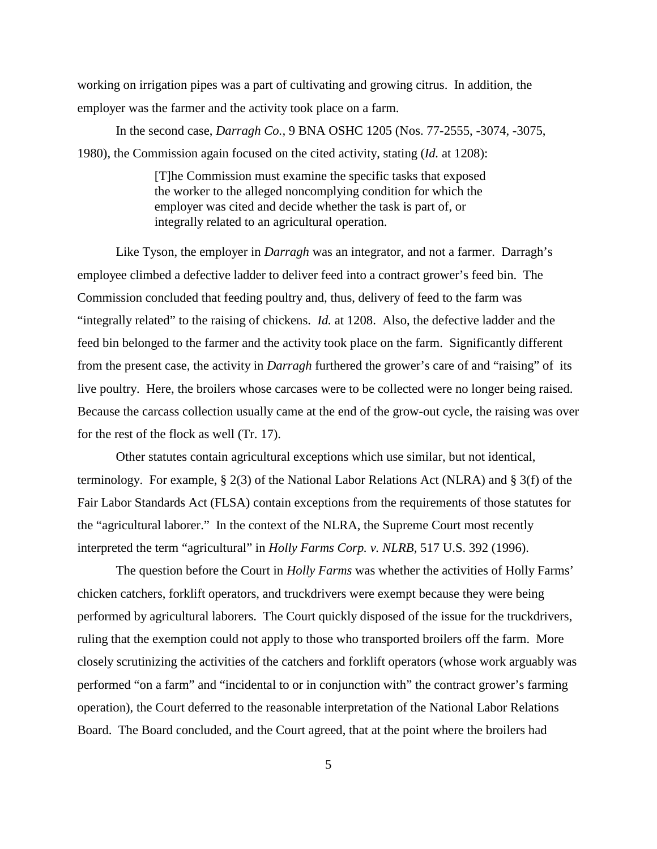working on irrigation pipes was a part of cultivating and growing citrus. In addition, the employer was the farmer and the activity took place on a farm.

In the second case, *Darragh Co.,* 9 BNA OSHC 1205 (Nos. 77-2555, -3074, -3075, 1980), the Commission again focused on the cited activity, stating (*Id.* at 1208):

> [T]he Commission must examine the specific tasks that exposed the worker to the alleged noncomplying condition for which the employer was cited and decide whether the task is part of, or integrally related to an agricultural operation.

Like Tyson, the employer in *Darragh* was an integrator, and not a farmer. Darragh's employee climbed a defective ladder to deliver feed into a contract grower's feed bin. The Commission concluded that feeding poultry and, thus, delivery of feed to the farm was "integrally related" to the raising of chickens. *Id.* at 1208. Also, the defective ladder and the feed bin belonged to the farmer and the activity took place on the farm. Significantly different from the present case, the activity in *Darragh* furthered the grower's care of and "raising" of its live poultry. Here, the broilers whose carcases were to be collected were no longer being raised. Because the carcass collection usually came at the end of the grow-out cycle, the raising was over for the rest of the flock as well (Tr. 17).

Other statutes contain agricultural exceptions which use similar, but not identical, terminology. For example, § 2(3) of the National Labor Relations Act (NLRA) and § 3(f) of the Fair Labor Standards Act (FLSA) contain exceptions from the requirements of those statutes for the "agricultural laborer." In the context of the NLRA, the Supreme Court most recently interpreted the term "agricultural" in *Holly Farms Corp. v. NLRB,* 517 U.S. 392 (1996).

The question before the Court in *Holly Farms* was whether the activities of Holly Farms' chicken catchers, forklift operators, and truckdrivers were exempt because they were being performed by agricultural laborers. The Court quickly disposed of the issue for the truckdrivers, ruling that the exemption could not apply to those who transported broilers off the farm. More closely scrutinizing the activities of the catchers and forklift operators (whose work arguably was performed "on a farm" and "incidental to or in conjunction with" the contract grower's farming operation), the Court deferred to the reasonable interpretation of the National Labor Relations Board. The Board concluded, and the Court agreed, that at the point where the broilers had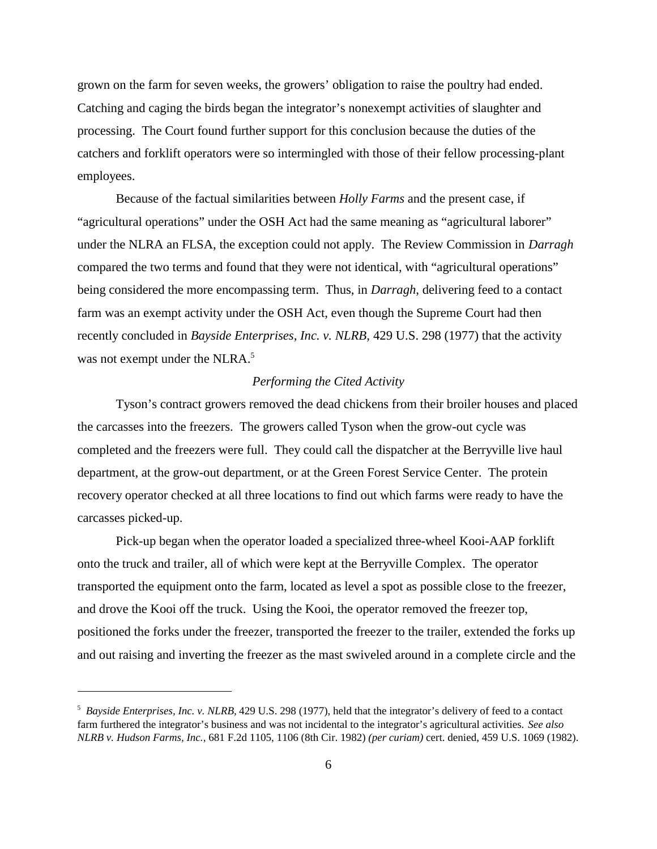grown on the farm for seven weeks, the growers' obligation to raise the poultry had ended. Catching and caging the birds began the integrator's nonexempt activities of slaughter and processing. The Court found further support for this conclusion because the duties of the catchers and forklift operators were so intermingled with those of their fellow processing-plant employees.

Because of the factual similarities between *Holly Farms* and the present case, if "agricultural operations" under the OSH Act had the same meaning as "agricultural laborer" under the NLRA an FLSA, the exception could not apply. The Review Commission in *Darragh* compared the two terms and found that they were not identical, with "agricultural operations" being considered the more encompassing term. Thus, in *Darragh*, delivering feed to a contact farm was an exempt activity under the OSH Act, even though the Supreme Court had then recently concluded in *Bayside Enterprises, Inc. v. NLRB,* 429 U.S. 298 (1977) that the activity was not exempt under the NLRA.<sup>5</sup>

### *Performing the Cited Activity*

Tyson's contract growers removed the dead chickens from their broiler houses and placed the carcasses into the freezers. The growers called Tyson when the grow-out cycle was completed and the freezers were full. They could call the dispatcher at the Berryville live haul department, at the grow-out department, or at the Green Forest Service Center. The protein recovery operator checked at all three locations to find out which farms were ready to have the carcasses picked-up.

Pick-up began when the operator loaded a specialized three-wheel Kooi-AAP forklift onto the truck and trailer, all of which were kept at the Berryville Complex. The operator transported the equipment onto the farm, located as level a spot as possible close to the freezer, and drove the Kooi off the truck. Using the Kooi, the operator removed the freezer top, positioned the forks under the freezer, transported the freezer to the trailer, extended the forks up and out raising and inverting the freezer as the mast swiveled around in a complete circle and the

<sup>5</sup> *Bayside Enterprises, Inc. v. NLRB,* 429 U.S. 298 (1977), held that the integrator's delivery of feed to a contact farm furthered the integrator's business and was not incidental to the integrator's agricultural activities. *See also NLRB v. Hudson Farms, Inc.*, 681 F.2d 1105, 1106 (8th Cir. 1982) *(per curiam)* cert. denied, 459 U.S. 1069 (1982).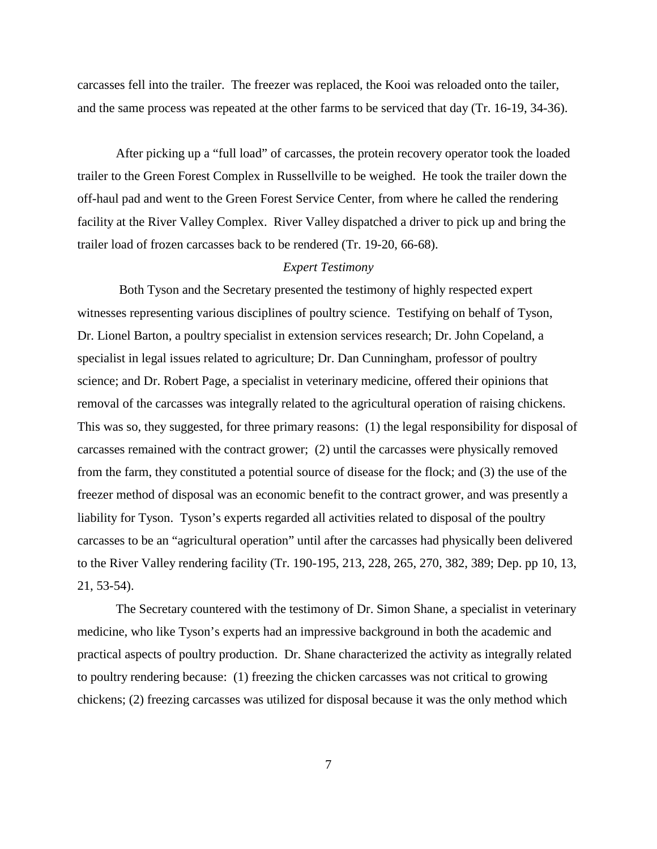carcasses fell into the trailer. The freezer was replaced, the Kooi was reloaded onto the tailer, and the same process was repeated at the other farms to be serviced that day (Tr. 16-19, 34-36).

After picking up a "full load" of carcasses, the protein recovery operator took the loaded trailer to the Green Forest Complex in Russellville to be weighed. He took the trailer down the off-haul pad and went to the Green Forest Service Center, from where he called the rendering facility at the River Valley Complex. River Valley dispatched a driver to pick up and bring the trailer load of frozen carcasses back to be rendered (Tr. 19-20, 66-68).

# *Expert Testimony*

 Both Tyson and the Secretary presented the testimony of highly respected expert witnesses representing various disciplines of poultry science. Testifying on behalf of Tyson, Dr. Lionel Barton, a poultry specialist in extension services research; Dr. John Copeland, a specialist in legal issues related to agriculture; Dr. Dan Cunningham, professor of poultry science; and Dr. Robert Page, a specialist in veterinary medicine, offered their opinions that removal of the carcasses was integrally related to the agricultural operation of raising chickens. This was so, they suggested, for three primary reasons: (1) the legal responsibility for disposal of carcasses remained with the contract grower; (2) until the carcasses were physically removed from the farm, they constituted a potential source of disease for the flock; and (3) the use of the freezer method of disposal was an economic benefit to the contract grower, and was presently a liability for Tyson. Tyson's experts regarded all activities related to disposal of the poultry carcasses to be an "agricultural operation" until after the carcasses had physically been delivered to the River Valley rendering facility (Tr. 190-195, 213, 228, 265, 270, 382, 389; Dep. pp 10, 13, 21, 53-54).

The Secretary countered with the testimony of Dr. Simon Shane, a specialist in veterinary medicine, who like Tyson's experts had an impressive background in both the academic and practical aspects of poultry production. Dr. Shane characterized the activity as integrally related to poultry rendering because: (1) freezing the chicken carcasses was not critical to growing chickens; (2) freezing carcasses was utilized for disposal because it was the only method which

7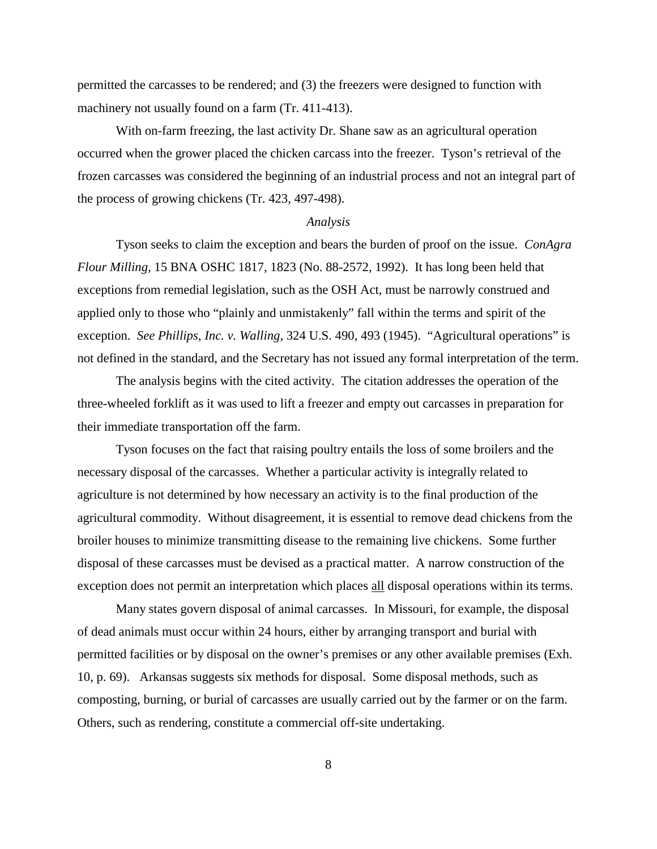permitted the carcasses to be rendered; and (3) the freezers were designed to function with machinery not usually found on a farm (Tr. 411-413).

With on-farm freezing, the last activity Dr. Shane saw as an agricultural operation occurred when the grower placed the chicken carcass into the freezer. Tyson's retrieval of the frozen carcasses was considered the beginning of an industrial process and not an integral part of the process of growing chickens (Tr. 423, 497-498).

#### *Analysis*

Tyson seeks to claim the exception and bears the burden of proof on the issue. *ConAgra Flour Milling,* 15 BNA OSHC 1817, 1823 (No. 88-2572, 1992). It has long been held that exceptions from remedial legislation, such as the OSH Act, must be narrowly construed and applied only to those who "plainly and unmistakenly" fall within the terms and spirit of the exception. *See Phillips, Inc. v. Walling,* 324 U.S. 490, 493 (1945). "Agricultural operations" is not defined in the standard, and the Secretary has not issued any formal interpretation of the term.

The analysis begins with the cited activity. The citation addresses the operation of the three-wheeled forklift as it was used to lift a freezer and empty out carcasses in preparation for their immediate transportation off the farm.

Tyson focuses on the fact that raising poultry entails the loss of some broilers and the necessary disposal of the carcasses. Whether a particular activity is integrally related to agriculture is not determined by how necessary an activity is to the final production of the agricultural commodity. Without disagreement, it is essential to remove dead chickens from the broiler houses to minimize transmitting disease to the remaining live chickens. Some further disposal of these carcasses must be devised as a practical matter. A narrow construction of the exception does not permit an interpretation which places all disposal operations within its terms.

Many states govern disposal of animal carcasses. In Missouri, for example, the disposal of dead animals must occur within 24 hours, either by arranging transport and burial with permitted facilities or by disposal on the owner's premises or any other available premises (Exh. 10, p. 69). Arkansas suggests six methods for disposal. Some disposal methods, such as composting, burning, or burial of carcasses are usually carried out by the farmer or on the farm. Others, such as rendering, constitute a commercial off-site undertaking.

8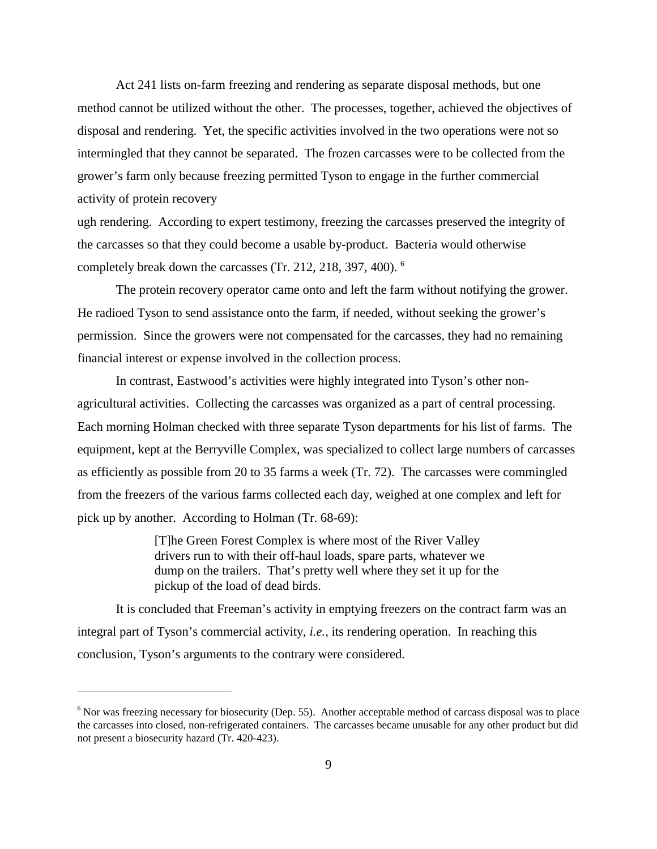Act 241 lists on-farm freezing and rendering as separate disposal methods, but one method cannot be utilized without the other. The processes, together, achieved the objectives of disposal and rendering. Yet, the specific activities involved in the two operations were not so intermingled that they cannot be separated. The frozen carcasses were to be collected from the grower's farm only because freezing permitted Tyson to engage in the further commercial activity of protein recovery

ugh rendering. According to expert testimony, freezing the carcasses preserved the integrity of the carcasses so that they could become a usable by-product. Bacteria would otherwise completely break down the carcasses (Tr. 212, 218, 397, 400).<sup>6</sup>

The protein recovery operator came onto and left the farm without notifying the grower. He radioed Tyson to send assistance onto the farm, if needed, without seeking the grower's permission. Since the growers were not compensated for the carcasses, they had no remaining financial interest or expense involved in the collection process.

In contrast, Eastwood's activities were highly integrated into Tyson's other nonagricultural activities. Collecting the carcasses was organized as a part of central processing. Each morning Holman checked with three separate Tyson departments for his list of farms. The equipment, kept at the Berryville Complex, was specialized to collect large numbers of carcasses as efficiently as possible from 20 to 35 farms a week (Tr. 72). The carcasses were commingled from the freezers of the various farms collected each day, weighed at one complex and left for pick up by another. According to Holman (Tr. 68-69):

> [T]he Green Forest Complex is where most of the River Valley drivers run to with their off-haul loads, spare parts, whatever we dump on the trailers. That's pretty well where they set it up for the pickup of the load of dead birds.

It is concluded that Freeman's activity in emptying freezers on the contract farm was an integral part of Tyson's commercial activity, *i.e.,* its rendering operation. In reaching this conclusion, Tyson's arguments to the contrary were considered.

<sup>&</sup>lt;sup>6</sup> Nor was freezing necessary for biosecurity (Dep. 55). Another acceptable method of carcass disposal was to place the carcasses into closed, non-refrigerated containers. The carcasses became unusable for any other product but did not present a biosecurity hazard (Tr. 420-423).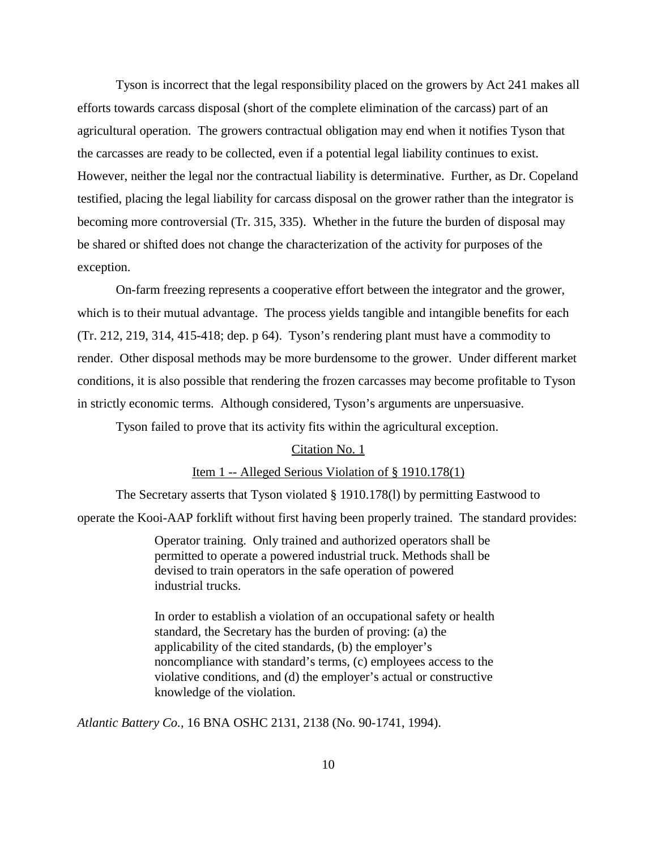Tyson is incorrect that the legal responsibility placed on the growers by Act 241 makes all efforts towards carcass disposal (short of the complete elimination of the carcass) part of an agricultural operation. The growers contractual obligation may end when it notifies Tyson that the carcasses are ready to be collected, even if a potential legal liability continues to exist. However, neither the legal nor the contractual liability is determinative. Further, as Dr. Copeland testified, placing the legal liability for carcass disposal on the grower rather than the integrator is becoming more controversial (Tr. 315, 335). Whether in the future the burden of disposal may be shared or shifted does not change the characterization of the activity for purposes of the exception.

On-farm freezing represents a cooperative effort between the integrator and the grower, which is to their mutual advantage. The process yields tangible and intangible benefits for each (Tr. 212, 219, 314, 415-418; dep. p 64). Tyson's rendering plant must have a commodity to render. Other disposal methods may be more burdensome to the grower. Under different market conditions, it is also possible that rendering the frozen carcasses may become profitable to Tyson in strictly economic terms. Although considered, Tyson's arguments are unpersuasive.

Tyson failed to prove that its activity fits within the agricultural exception.

### Citation No. 1

## Item 1 -- Alleged Serious Violation of § 1910.178(1)

The Secretary asserts that Tyson violated § 1910.178(l) by permitting Eastwood to operate the Kooi-AAP forklift without first having been properly trained. The standard provides:

> Operator training. Only trained and authorized operators shall be permitted to operate a powered industrial truck. Methods shall be devised to train operators in the safe operation of powered industrial trucks.

In order to establish a violation of an occupational safety or health standard, the Secretary has the burden of proving: (a) the applicability of the cited standards, (b) the employer's noncompliance with standard's terms, (c) employees access to the violative conditions, and (d) the employer's actual or constructive knowledge of the violation.

*Atlantic Battery Co.,* 16 BNA OSHC 2131, 2138 (No. 90-1741, 1994).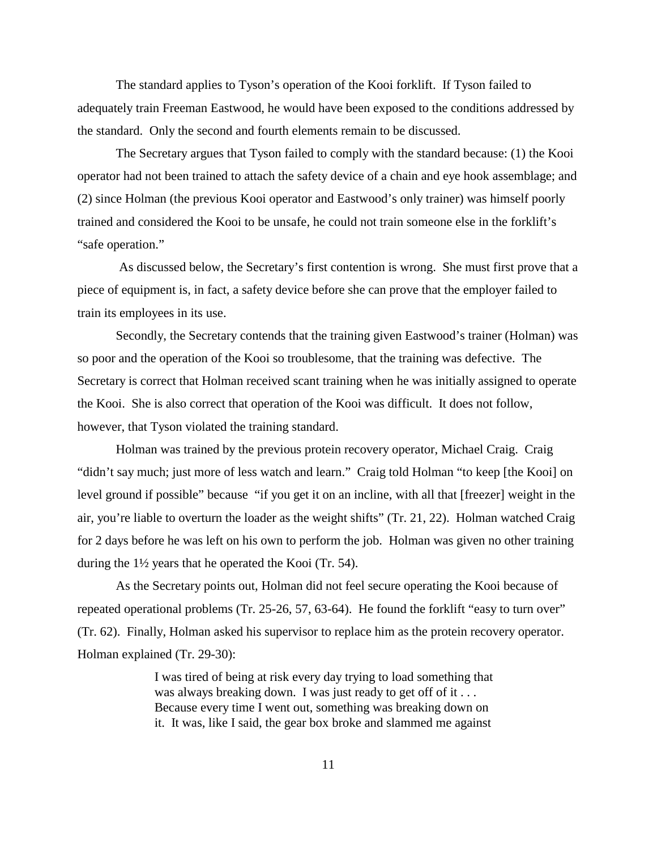The standard applies to Tyson's operation of the Kooi forklift. If Tyson failed to adequately train Freeman Eastwood, he would have been exposed to the conditions addressed by the standard. Only the second and fourth elements remain to be discussed.

The Secretary argues that Tyson failed to comply with the standard because: (1) the Kooi operator had not been trained to attach the safety device of a chain and eye hook assemblage; and (2) since Holman (the previous Kooi operator and Eastwood's only trainer) was himself poorly trained and considered the Kooi to be unsafe, he could not train someone else in the forklift's "safe operation."

 As discussed below, the Secretary's first contention is wrong. She must first prove that a piece of equipment is, in fact, a safety device before she can prove that the employer failed to train its employees in its use.

Secondly, the Secretary contends that the training given Eastwood's trainer (Holman) was so poor and the operation of the Kooi so troublesome, that the training was defective. The Secretary is correct that Holman received scant training when he was initially assigned to operate the Kooi. She is also correct that operation of the Kooi was difficult. It does not follow, however, that Tyson violated the training standard.

Holman was trained by the previous protein recovery operator, Michael Craig. Craig "didn't say much; just more of less watch and learn." Craig told Holman "to keep [the Kooi] on level ground if possible" because "if you get it on an incline, with all that [freezer] weight in the air, you're liable to overturn the loader as the weight shifts" (Tr. 21, 22). Holman watched Craig for 2 days before he was left on his own to perform the job. Holman was given no other training during the 1½ years that he operated the Kooi (Tr. 54).

As the Secretary points out, Holman did not feel secure operating the Kooi because of repeated operational problems (Tr. 25-26, 57, 63-64). He found the forklift "easy to turn over" (Tr. 62). Finally, Holman asked his supervisor to replace him as the protein recovery operator. Holman explained (Tr. 29-30):

> I was tired of being at risk every day trying to load something that was always breaking down. I was just ready to get off of it . . . Because every time I went out, something was breaking down on it. It was, like I said, the gear box broke and slammed me against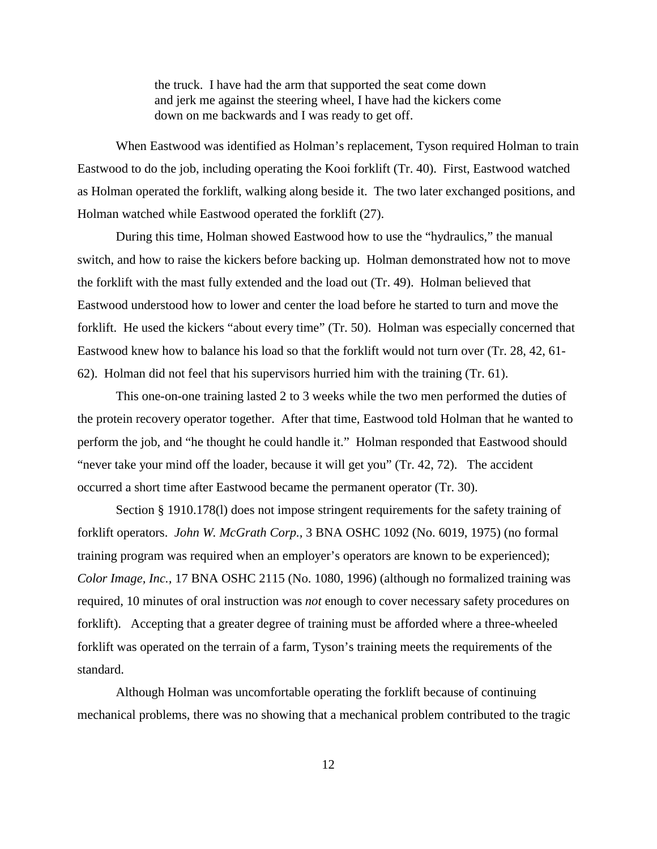the truck. I have had the arm that supported the seat come down and jerk me against the steering wheel, I have had the kickers come down on me backwards and I was ready to get off.

When Eastwood was identified as Holman's replacement, Tyson required Holman to train Eastwood to do the job, including operating the Kooi forklift (Tr. 40). First, Eastwood watched as Holman operated the forklift, walking along beside it. The two later exchanged positions, and Holman watched while Eastwood operated the forklift (27).

During this time, Holman showed Eastwood how to use the "hydraulics," the manual switch, and how to raise the kickers before backing up. Holman demonstrated how not to move the forklift with the mast fully extended and the load out (Tr. 49). Holman believed that Eastwood understood how to lower and center the load before he started to turn and move the forklift. He used the kickers "about every time" (Tr. 50). Holman was especially concerned that Eastwood knew how to balance his load so that the forklift would not turn over (Tr. 28, 42, 61- 62). Holman did not feel that his supervisors hurried him with the training (Tr. 61).

This one-on-one training lasted 2 to 3 weeks while the two men performed the duties of the protein recovery operator together. After that time, Eastwood told Holman that he wanted to perform the job, and "he thought he could handle it." Holman responded that Eastwood should "never take your mind off the loader, because it will get you" (Tr. 42, 72). The accident occurred a short time after Eastwood became the permanent operator (Tr. 30).

Section § 1910.178(I) does not impose stringent requirements for the safety training of forklift operators. *John W. McGrath Corp.,* 3 BNA OSHC 1092 (No. 6019, 1975) (no formal training program was required when an employer's operators are known to be experienced); *Color Image, Inc.,* 17 BNA OSHC 2115 (No. 1080, 1996) (although no formalized training was required, 10 minutes of oral instruction was *not* enough to cover necessary safety procedures on forklift). Accepting that a greater degree of training must be afforded where a three-wheeled forklift was operated on the terrain of a farm, Tyson's training meets the requirements of the standard.

Although Holman was uncomfortable operating the forklift because of continuing mechanical problems, there was no showing that a mechanical problem contributed to the tragic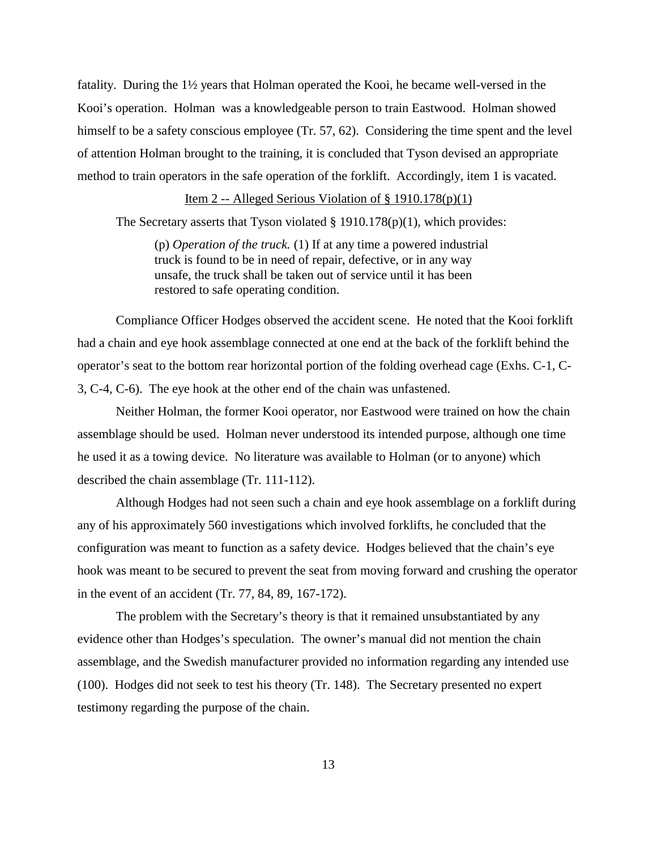fatality. During the 1½ years that Holman operated the Kooi, he became well-versed in the Kooi's operation. Holman was a knowledgeable person to train Eastwood. Holman showed himself to be a safety conscious employee (Tr. 57, 62). Considering the time spent and the level of attention Holman brought to the training, it is concluded that Tyson devised an appropriate method to train operators in the safe operation of the forklift. Accordingly, item 1 is vacated.

# Item 2 -- Alleged Serious Violation of  $\S$  1910.178(p)(1)

The Secretary asserts that Tyson violated  $\S$  1910.178(p)(1), which provides:

(p) *Operation of the truck.* (1) If at any time a powered industrial truck is found to be in need of repair, defective, or in any way unsafe, the truck shall be taken out of service until it has been restored to safe operating condition.

Compliance Officer Hodges observed the accident scene. He noted that the Kooi forklift had a chain and eye hook assemblage connected at one end at the back of the forklift behind the operator's seat to the bottom rear horizontal portion of the folding overhead cage (Exhs. C-1, C-3, C-4, C-6). The eye hook at the other end of the chain was unfastened.

Neither Holman, the former Kooi operator, nor Eastwood were trained on how the chain assemblage should be used. Holman never understood its intended purpose, although one time he used it as a towing device. No literature was available to Holman (or to anyone) which described the chain assemblage (Tr. 111-112).

Although Hodges had not seen such a chain and eye hook assemblage on a forklift during any of his approximately 560 investigations which involved forklifts, he concluded that the configuration was meant to function as a safety device. Hodges believed that the chain's eye hook was meant to be secured to prevent the seat from moving forward and crushing the operator in the event of an accident (Tr. 77, 84, 89, 167-172).

The problem with the Secretary's theory is that it remained unsubstantiated by any evidence other than Hodges's speculation. The owner's manual did not mention the chain assemblage, and the Swedish manufacturer provided no information regarding any intended use (100). Hodges did not seek to test his theory (Tr. 148). The Secretary presented no expert testimony regarding the purpose of the chain.